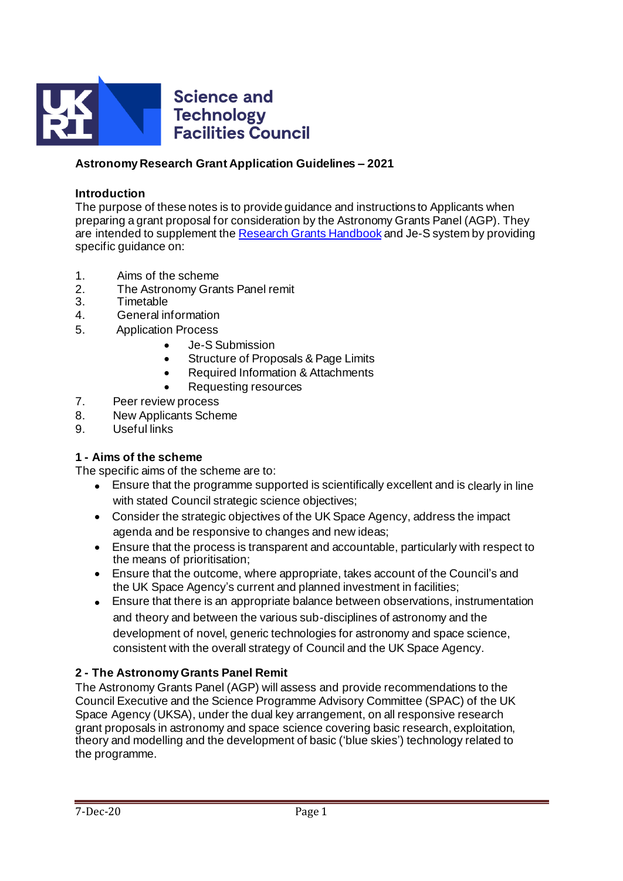

### **Astronomy Research Grant Application Guidelines – 2021**

#### **Introduction**

The purpose of these notes is to provide guidance and instructions to Applicants when preparing a grant proposal for consideration by the Astronomy Grants Panel (AGP). They are intended to supplement th[e Research Grants Handbook](https://stfc.ukri.org/research-grants-handbook/) and Je-S system by providing specific quidance on:

- 1. Aims of the scheme
- 2. The Astronomy Grants Panel remit
- 3. Timetable
- 4. General information
- 5. Application Process
	- Je-S Submission
	- Structure of Proposals & Page Limits
	- Required Information & Attachments
	- Requesting resources
- 7. Peer review process
- 8. New Applicants Scheme
- 9. Useful links

### **1 - Aims of the scheme**

The specific aims of the scheme are to:

- Ensure that the programme supported is scientifically excellent and is clearly in line with stated Council strategic science objectives;
- Consider the strategic objectives of the UK Space Agency, address the impact agenda and be responsive to changes and new ideas;
- Ensure that the process is transparent and accountable, particularly with respect to the means of prioritisation;
- Ensure that the outcome, where appropriate, takes account of the Council's and the UK Space Agency's current and planned investment in facilities;
- Ensure that there is an appropriate balance between observations, instrumentation and theory and between the various sub-disciplines of astronomy and the development of novel, generic technologies for astronomy and space science, consistent with the overall strategy of Council and the UK Space Agency.

### **2 - The Astronomy Grants Panel Remit**

The Astronomy Grants Panel (AGP) will assess and provide recommendations to the Council Executive and the Science Programme Advisory Committee (SPAC) of the UK Space Agency (UKSA), under the dual key arrangement, on all responsive research grant proposals in astronomy and space science covering basic research, exploitation, theory and modelling and the development of basic ('blue skies') technology related to the programme.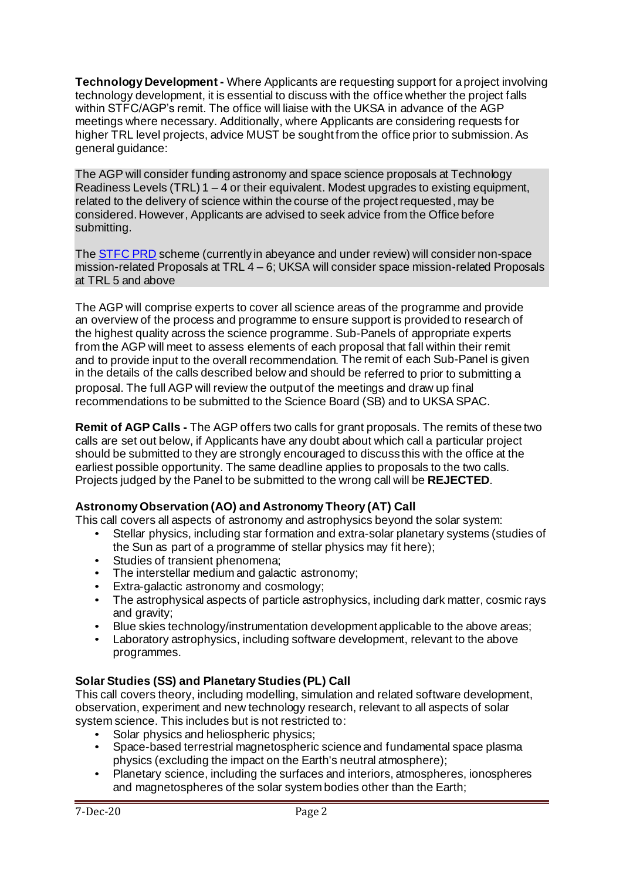**Technology Development -** Where Applicants are requesting support for a project involving technology development, it is essential to discuss with the office whether the project falls within STFC/AGP's remit. The office will liaise with the UKSA in advance of the AGP meetings where necessary. Additionally, where Applicants are considering requests for higher TRL level projects, advice MUST be sought from the office prior to submission. As general quidance:

The AGP will consider funding astronomy and space science proposals at Technology Readiness Levels (TRL) 1 – 4 or their equivalent. Modest upgrades to existing equipment, related to the delivery of science within the course of the project requested, may be considered. However, Applicants are advised to seek advice from the Office before submitting.

The [STFC PRD](https://stfc.ukri.org/funding/stfc-knowledge-exchange/project-research-and-development-scheme/prd-definition/) scheme (currently in abeyance and under review) will consider non-space mission-related Proposals at TRL 4 – 6; UKSA will consider space mission-related Proposals at TRL 5 and above

The AGP will comprise experts to cover all science areas of the programme and provide an overview of the process and programme to ensure support is provided to research of the highest quality across the science programme. Sub-Panels of appropriate experts from the AGP will meet to assess elements of each proposal that fall within their remit and to provide input to the overall recommendation. The remit of each Sub-Panel is given in the details of the calls described below and should be referred to prior to submitting a proposal. The full AGP will review the output of the meetings and draw up final recommendations to be submitted to the Science Board (SB) and to UKSA SPAC.

**Remit of AGP Calls -** The AGP offers two calls for grant proposals. The remits of these two calls are set out below, if Applicants have any doubt about which call a particular project should be submitted to they are strongly encouraged to discuss this with the office at the earliest possible opportunity. The same deadline applies to proposals to the two calls. Projects judged by the Panel to be submitted to the wrong call will be **REJECTED**.

## **Astronomy Observation (AO) and Astronomy Theory (AT) Call**

This call covers all aspects of astronomy and astrophysics beyond the solar system:

- Stellar physics, including star formation and extra-solar planetary systems (studies of the Sun as part of a programme of stellar physics may fit here);
- Studies of transient phenomena;
- The interstellar medium and galactic astronomy;
- Extra-galactic astronomy and cosmology;
- The astrophysical aspects of particle astrophysics, including dark matter, cosmic rays and gravity;
- Blue skies technology/instrumentation development applicable to the above areas;<br>• Laboratory astrophysics, including software development, relevant to the above
- Laboratory astrophysics, including software development, relevant to the above programmes.

## **Solar Studies (SS) and Planetary Studies (PL) Call**

This call covers theory, including modelling, simulation and related software development, observation, experiment and new technology research, relevant to all aspects of solar system science. This includes but is not restricted to:

- Solar physics and heliospheric physics:
- Space-based terrestrial magnetospheric science and fundamental space plasma physics (excluding the impact on the Earth's neutral atmosphere);
- Planetary science, including the surfaces and interiors, atmospheres, ionospheres and magnetospheres of the solar system bodies other than the Earth;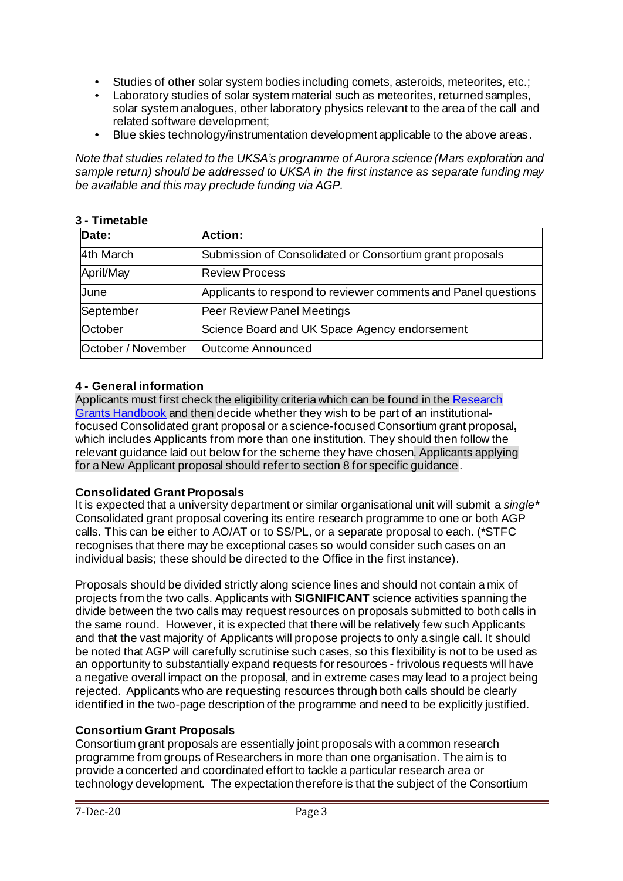- Studies of other solar system bodies including comets, asteroids, meteorites, etc.;<br>• Laboratory studies of solar system material such as meteorites, returned samples,
- Laboratory studies of solar system material such as meteorites, returned samples, solar system analogues, other laboratory physics relevant to the area of the call and related software development;
- Blue skies technology/instrumentation development applicable to the above areas.

*Note that studies related to the UKSA's programme of Aurora science (Mars exploration and sample return) should be addressed to UKSA in the first instance as separate funding may be available and this may preclude funding via AGP.*

### **3 - Timetable**

| Date:              | <b>Action:</b>                                                 |  |  |
|--------------------|----------------------------------------------------------------|--|--|
| 4th March          | Submission of Consolidated or Consortium grant proposals       |  |  |
| April/May          | <b>Review Process</b>                                          |  |  |
| June               | Applicants to respond to reviewer comments and Panel questions |  |  |
| September          | <b>Peer Review Panel Meetings</b>                              |  |  |
| October            | Science Board and UK Space Agency endorsement                  |  |  |
| October / November | <b>Outcome Announced</b>                                       |  |  |

## **4 - General information**

Applicants must first check the eligibility criteria which can be found in the Research [Grants Handbook](https://stfc.ukri.org/research-grants-handbook/2-eligibility/) and then decide whether they wish to be part of an institutionalfocused Consolidated grant proposal or a science-focused Consortium grant proposal**,** which includes Applicants from more than one institution. They should then follow the relevant guidance laid out below for the scheme they have chosen. Applicants applying for a New Applicant proposal should refer to section 8 for specific guidance.

### **Consolidated Grant Proposals**

It is expected that a university department or similar organisational unit will submit a *single\** Consolidated grant proposal covering its entire research programme to one or both AGP calls. This can be either to AO/AT or to SS/PL, or a separate proposal to each. (\*STFC recognises that there may be exceptional cases so would consider such cases on an individual basis; these should be directed to the Office in the first instance).

Proposals should be divided strictly along science lines and should not contain a mix of projects from the two calls. Applicants with **SIGNIFICANT** science activities spanning the divide between the two calls may request resources on proposals submitted to both calls in the same round. However, it is expected that there will be relatively few such Applicants and that the vast majority of Applicants will propose projects to only a single call. It should be noted that AGP will carefully scrutinise such cases, so this flexibility is not to be used as an opportunity to substantially expand requests for resources - frivolous requests will have a negative overall impact on the proposal, and in extreme cases may lead to a project being rejected. Applicants who are requesting resources through both calls should be clearly identified in the two-page description of the programme and need to be explicitly justified.

## **Consortium Grant Proposals**

Consortium grant proposals are essentially joint proposals with a common research programme from groups of Researchers in more than one organisation. The aim is to provide a concerted and coordinated effort to tackle a particular research area or technology development. The expectation therefore is that the subject of the Consortium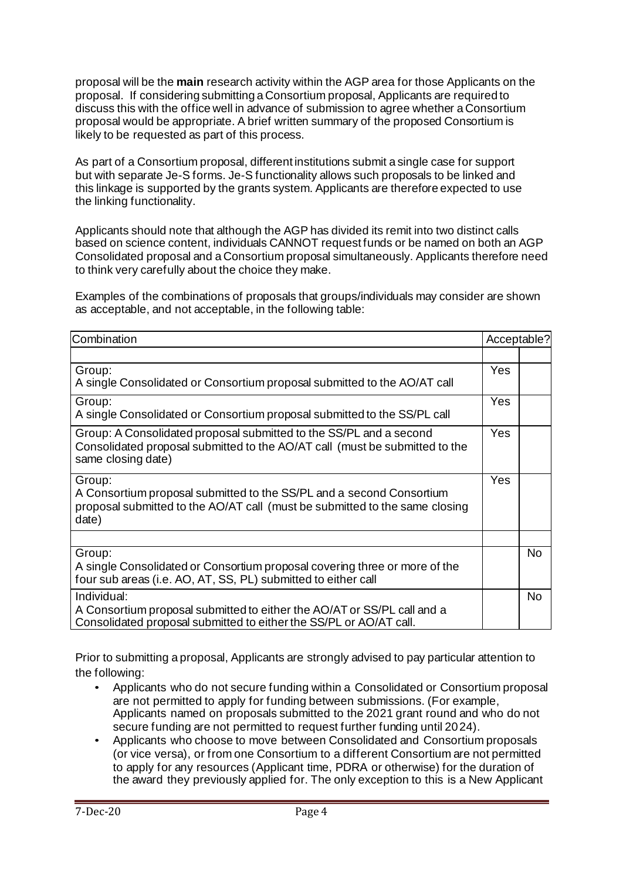proposal will be the **main** research activity within the AGP area for those Applicants on the proposal. If considering submitting a Consortium proposal, Applicants are required to discuss this with the office well in advance of submission to agree whether a Consortium proposal would be appropriate. A brief written summary of the proposed Consortium is likely to be requested as part of this process.

As part of a Consortium proposal, different institutions submit a single case for support but with separate Je-S forms. Je-S functionality allows such proposals to be linked and this linkage is supported by the grants system. Applicants are therefore expected to use the linking functionality.

Applicants should note that although the AGP has divided its remit into two distinct calls based on science content, individuals CANNOT request funds or be named on both an AGP Consolidated proposal and a Consortium proposal simultaneously. Applicants therefore need to think very carefully about the choice they make.

Examples of the combinations of proposals that groups/individuals may consider are shown as acceptable, and not acceptable, in the following table:

| Combination                                                                                                                                                             |     |           |
|-------------------------------------------------------------------------------------------------------------------------------------------------------------------------|-----|-----------|
|                                                                                                                                                                         |     |           |
| Group:<br>A single Consolidated or Consortium proposal submitted to the AO/AT call                                                                                      | Yes |           |
| Group:<br>A single Consolidated or Consortium proposal submitted to the SS/PL call                                                                                      | Yes |           |
| Group: A Consolidated proposal submitted to the SS/PL and a second<br>Consolidated proposal submitted to the AO/AT call (must be submitted to the<br>same closing date) | Yes |           |
| Group:<br>A Consortium proposal submitted to the SS/PL and a second Consortium<br>proposal submitted to the AO/AT call (must be submitted to the same closing<br>date)  | Yes |           |
|                                                                                                                                                                         |     |           |
| Group:<br>A single Consolidated or Consortium proposal covering three or more of the<br>four sub areas (i.e. AO, AT, SS, PL) submitted to either call                   |     | <b>No</b> |
| Individual:<br>A Consortium proposal submitted to either the AO/AT or SS/PL call and a<br>Consolidated proposal submitted to either the SS/PL or AO/AT call.            |     | <b>No</b> |

Prior to submitting a proposal, Applicants are strongly advised to pay particular attention to the following:

- Applicants who do not secure funding within a Consolidated or Consortium proposal are not permitted to apply for funding between submissions. (For example, Applicants named on proposals submitted to the 2021 grant round and who do not secure funding are not permitted to request further funding until 2024).
- Applicants who choose to move between Consolidated and Consortium proposals (or vice versa), or from one Consortium to a different Consortium are not permitted to apply for any resources (Applicant time, PDRA or otherwise) for the duration of the award they previously applied for. The only exception to this is a New Applicant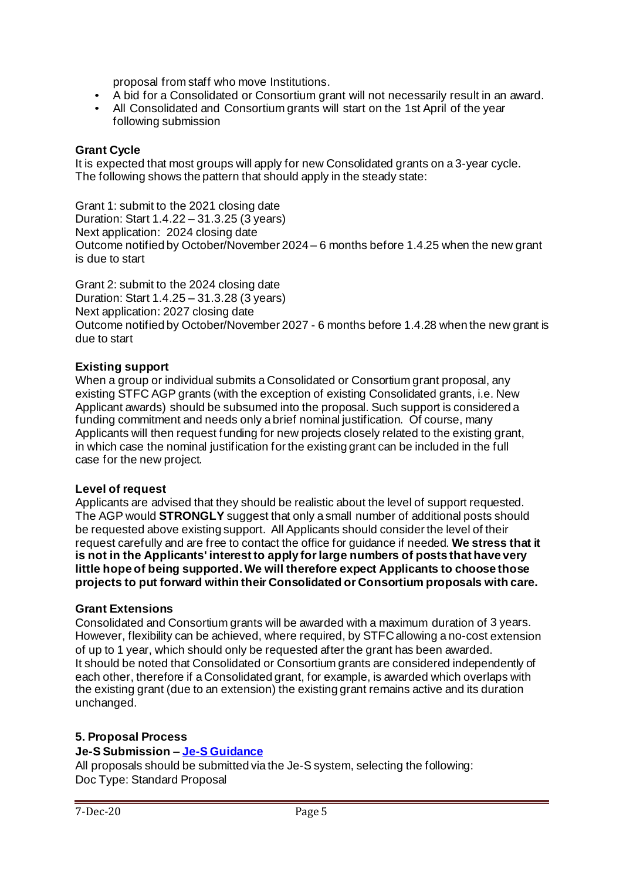proposal from staff who move Institutions.

- A bid for a Consolidated or Consortium grant will not necessarily result in an award.
- All Consolidated and Consortium grants will start on the 1st April of the year following submission

#### **Grant Cycle**

It is expected that most groups will apply for new Consolidated grants on a 3-year cycle. The following shows the pattern that should apply in the steady state:

Grant 1: submit to the 2021 closing date Duration: Start 1.4.22 – 31.3.25 (3 years) Next application: 2024 closing date Outcome notified by October/November 2024 – 6 months before 1.4.25 when the new grant is due to start

Grant 2: submit to the 2024 closing date Duration: Start 1.4.25 – 31.3.28 (3 years) Next application: 2027 closing date Outcome notified by October/November 2027 - 6 months before 1.4.28 when the new grant is due to start

#### **Existing support**

When a group or individual submits a Consolidated or Consortium grant proposal, any existing STFC AGP grants (with the exception of existing Consolidated grants, i.e. New Applicant awards) should be subsumed into the proposal. Such support is considered a funding commitment and needs only a brief nominal justification. Of course, many Applicants will then request funding for new projects closely related to the existing grant, in which case the nominal justification forthe existing grant can be included in the full case for the new project.

#### **Level of request**

Applicants are advised that they should be realistic about the level of support requested. The AGP would **STRONGLY** suggest that only a small number of additional posts should be requested above existing support. All Applicants should consider the level of their request carefully and are free to contact the office for guidance if needed. **We stress that it is not in the Applicants' interest to apply forlarge numbers of posts that have very little hope of being supported. We will therefore expect Applicants to choose those projects to put forward within their Consolidated or Consortium proposals with care.**

### **Grant Extensions**

Consolidated and Consortium grants will be awarded with a maximum duration of 3 years. However, flexibility can be achieved, where required, by STFC allowing a no-cost extension of up to 1 year, which should only be requested after the grant has been awarded. It should be noted that Consolidated or Consortium grants are considered independently of each other, therefore if a Consolidated grant, for example, is awarded which overlaps with the existing grant (due to an extension) the existing grant remains active and its duration unchanged.

# **5. Proposal Process**

### **Je-S Submission – [Je-S Guidance](https://je-s.rcuk.ac.uk/Handbook/Index.htm)**

All proposals should be submitted via the Je-S system, selecting the following: Doc Type: Standard Proposal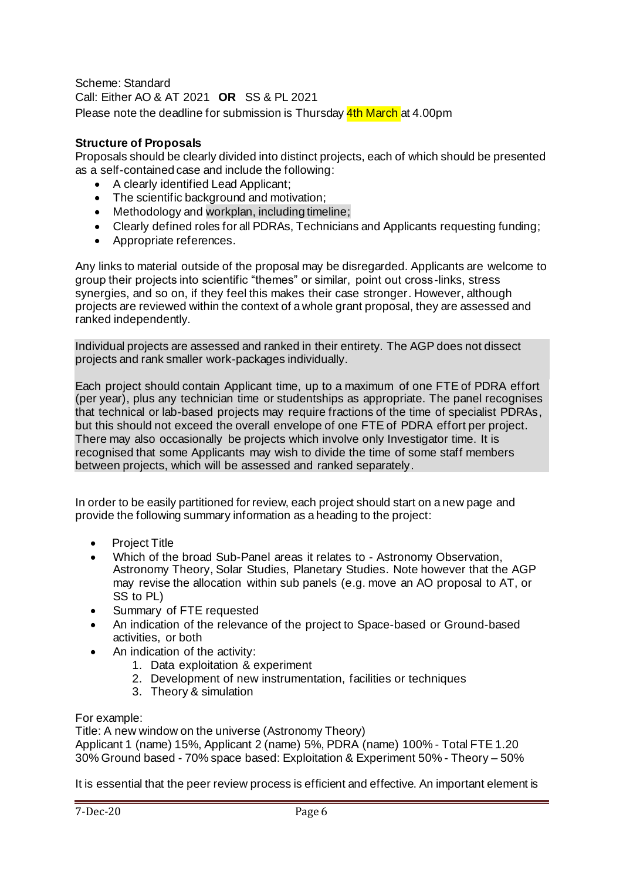Scheme: Standard Call: Either AO & AT 2021 **OR** SS & PL 2021 Please note the deadline for submission is Thursday 4th March at 4.00pm

### **Structure of Proposals**

Proposals should be clearly divided into distinct projects, each of which should be presented as a self-contained case and include the following:

- A clearly identified Lead Applicant;
- The scientific background and motivation:
- Methodology and workplan, including timeline;
- Clearly defined roles for all PDRAs, Technicians and Applicants requesting funding;
- Appropriate references.

Any links to material outside of the proposal may be disregarded. Applicants are welcome to group their projects into scientific "themes" or similar, point out cross-links, stress synergies, and so on, if they feel this makes their case stronger. However, although projects are reviewed within the context of a whole grant proposal, they are assessed and ranked independently.

Individual projects are assessed and ranked in their entirety. The AGP does not dissect projects and rank smaller work-packages individually.

Each project should contain Applicant time, up to a maximum of one FTE of PDRA effort (per year), plus any technician time or studentships as appropriate. The panel recognises that technical or lab-based projects may require fractions of the time of specialist PDRAs, but this should not exceed the overall envelope of one FTE of PDRA effort per project. There may also occasionally be projects which involve only Investigator time. It is recognised that some Applicants may wish to divide the time of some staff members between projects, which will be assessed and ranked separately.

In order to be easily partitioned for review, each project should start on a new page and provide the following summary information as a heading to the project:

- Project Title
- Which of the broad Sub-Panel areas it relates to Astronomy Observation, Astronomy Theory, Solar Studies, Planetary Studies. Note however that the AGP may revise the allocation within sub panels (e.g. move an AO proposal to AT, or SS to PL)
- Summary of FTE requested
- An indication of the relevance of the project to Space-based or Ground-based activities, or both
- An indication of the activity:
	- 1. Data exploitation & experiment
	- 2. Development of new instrumentation, facilities or techniques
	- 3. Theory & simulation

#### For example:

Title: A new window on the universe (Astronomy Theory)

Applicant 1 (name) 15%, Applicant 2 (name) 5%, PDRA (name) 100% - Total FTE 1.20 30% Ground based - 70% space based: Exploitation & Experiment 50% - Theory – 50%

It is essential that the peer review process is efficient and effective. An important element is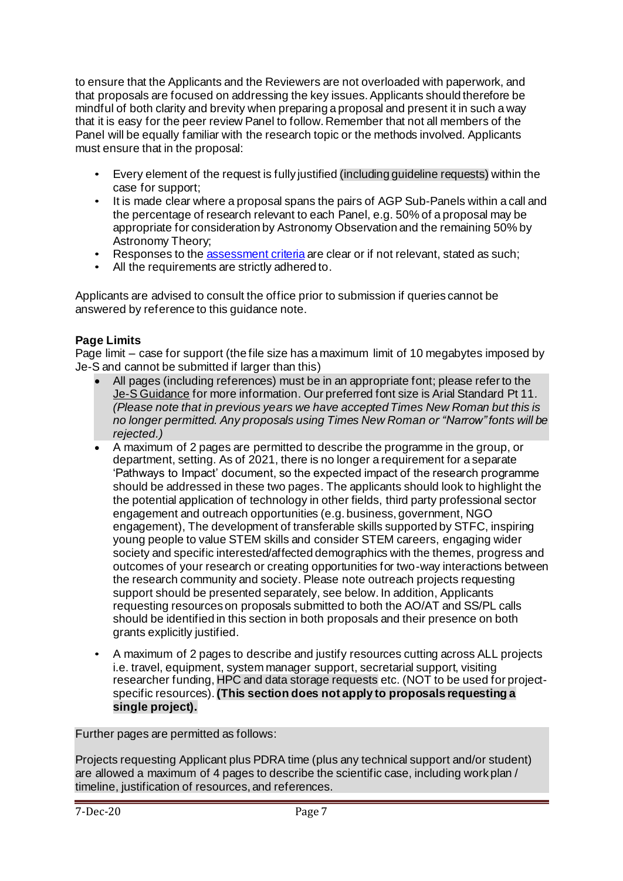to ensure that the Applicants and the Reviewers are not overloaded with paperwork, and that proposals are focused on addressing the key issues. Applicants should therefore be mindful of both clarity and brevity when preparing a proposal and present it in such a way that it is easy for the peer review Panel to follow. Remember that not all members of the Panel will be equally familiar with the research topic or the methods involved. Applicants must ensure that in the proposal:

- Every element of the request is fully justified (including guideline requests) within the case for support;
- It is made clear where a proposal spans the pairs of AGP Sub-Panels within a call and the percentage of research relevant to each Panel, e.g. 50% of a proposal may be appropriate for consideration by Astronomy Observation and the remaining 50% by Astronomy Theory;
- Responses to th[e assessment criteria](https://stfc.ukri.org/research-grants-handbook/6-review-and-assessment-of-proposals/6-1-assessment-criteria/) are clear or if not relevant, stated as such;
- All the requirements are strictly adhered to.

Applicants are advised to consult the office prior to submission if queries cannot be answered by reference to this guidance note.

## **Page Limits**

Page limit – case for support (the file size has a maximum limit of 10 megabytes imposed by Je-S and cannot be submitted if larger than this)

- All pages (including references) must be in an appropriate font; please refer to the [Je-S Guidance](https://je-s.rcuk.ac.uk/Handbook/pages/GuidanceoncompletingaFellowshi/AccompanyingDocumentation/STFCspecificrequirements.htm) for more information. Our preferred font size is Arial Standard Pt 11*. (Please note that in previous years we have accepted Times New Roman but this is no longer permitted. Any proposals using Times New Roman or "Narrow" fonts will be rejected.)*
- A maximum of 2 pages are permitted to describe the programme in the group, or department, setting. As of 2021, there is no longer a requirement for a separate 'Pathways to Impact' document, so the expected impact of the research programme should be addressed in these two pages. The applicants should look to highlight the the potential application of technology in other fields, third party professional sector engagement and outreach opportunities (e.g. business, government, NGO engagement), The development of transferable skills supported by STFC, inspiring young people to value STEM skills and consider STEM careers, engaging wider society and specific interested/affected demographics with the themes, progress and outcomes of your research or creating opportunities for two-way interactions between the research community and society. Please note outreach projects requesting support should be presented separately, see below. In addition, Applicants requesting resources on proposals submitted to both the AO/AT and SS/PL calls should be identified in this section in both proposals and their presence on both grants explicitly justified.
- A maximum of 2 pages to describe and justify resources cutting across ALL projects i.e. travel, equipment, system manager support, secretarial support, visiting researcher funding, HPC and data storage requests etc. (NOT to be used for projectspecific resources).**(This section does not apply to proposals requesting a single project).**

Further pages are permitted as follows:

Projects requesting Applicant plus PDRA time (plus any technical support and/or student) are allowed a maximum of 4 pages to describe the scientific case, including work plan / timeline, justification of resources, and references.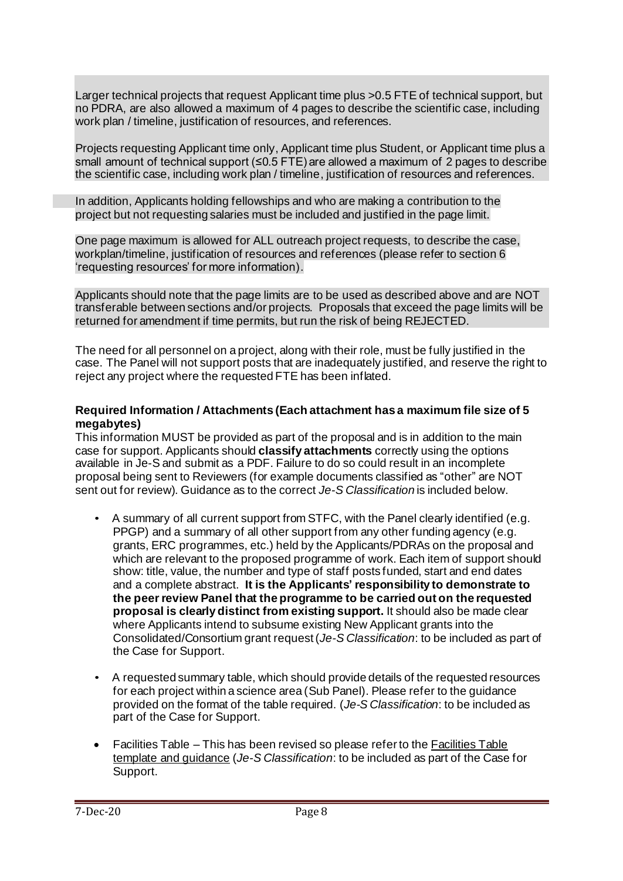Larger technical projects that request Applicant time plus >0.5 FTE of technical support, but no PDRA, are also allowed a maximum of 4 pages to describe the scientific case, including work plan / timeline, justification of resources, and references.

Projects requesting Applicant time only, Applicant time plus Student, or Applicant time plus a small amount of technical support (≤0.5 FTE) are allowed a maximum of 2 pages to describe the scientific case, including work plan / timeline, justification of resources and references.

In addition, Applicants holding fellowships and who are making a contribution to the project but not requesting salaries must be included and justified in the page limit.

One page maximum is allowed for ALL outreach project requests, to describe the case, workplan/timeline, justification of resources and references (please refer to section 6 'requesting resources' for more information).

Applicants should note that the page limits are to be used as described above and are NOT transferable between sections and/or projects. Proposals that exceed the page limits will be returned for amendment if time permits, but run the risk of being REJECTED.

The need for all personnel on a project, along with their role, must be fully justified in the case. The Panel will not support posts that are inadequately justified, and reserve the right to reject any project where the requested FTE has been inflated.

#### **Required Information / Attachments (Each attachment has a maximum file size of 5 megabytes)**

This information MUST be provided as part of the proposal and is in addition to the main case for support. Applicants should **classify attachments** correctly using the options available in Je-S and submit as a PDF. Failure to do so could result in an incomplete proposal being sent to Reviewers (for example documents classified as "other" are NOT sent out for review). Guidance as to the correct *Je-S Classification* is included below.

- A summary of all current support from STFC, with the Panel clearly identified (e.g. PPGP) and a summary of all other support from any other funding agency (e.g. grants, ERC programmes, etc.) held by the Applicants/PDRAs on the proposal and which are relevant to the proposed programme of work. Each item of support should show: title, value, the number and type of staff posts funded, start and end dates and a complete abstract. **It is the Applicants' responsibility to demonstrate to the peerreview Panel that the programme to be carried out on the requested proposal is clearly distinct from existing support.** It should also be made clear where Applicants intend to subsume existing New Applicant grants into the Consolidated/Consortium grant request (*Je-S Classification*: to be included as part of the Case for Support.
- A requested summary table, which should provide details of the requested resources for each project within a science area (Sub Panel). Please refer to the guidance provided on the format of the table required. (*Je-S Classification*: to be included as part of the Case for Support.
- Facilities Table This has been revised so please refer to the Facilities Table [template and guidance](http://www.stfc.ac.uk/files/facilities-table/) (*Je-S Classification*: to be included as part of the Case for Support.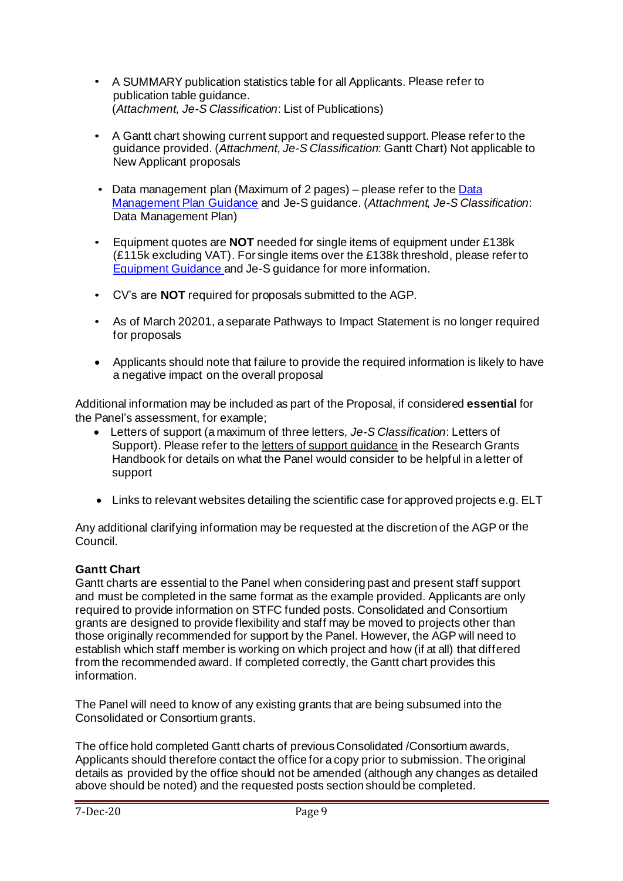- A SUMMARY publication statistics table for all Applicants. Please refer to publication table guidance. (*Attachment, Je-S Classification*: List of Publications)
- A Gantt chart showing current support and requested support. Please refer to the guidance provided. (*Attachment, Je-S Classification*: Gantt Chart) Not applicable to New Applicant proposals
- Data management plan (Maximum of 2 pages) please refer to the Data [Management Plan Guidance](http://www.stfc.ac.uk/funding/research-grants/data-management-plan/) and Je-S guidance. (*Attachment, Je-S Classification*: Data Management Plan)
- Equipment quotes are **NOT** needed for single items of equipment under £138k (£115k excluding VAT). For single items over the £138k threshold, please refer to [Equipment Guidance a](https://stfc.ukri.org/research-grants-handbook/5-applying-for-a-grant/5-6-equipment/)nd Je-S guidance for more information.
- CV's are **NOT** required for proposals submitted to the AGP.
- As of March 20201, a separate Pathways to Impact Statement is no longer required for proposals
- Applicants should note that failure to provide the required information is likely to have a negative impact on the overall proposal

Additional information may be included as part of the Proposal, if considered **essential** for the Panel's assessment, for example;

- Letters of support (a maximum of three letters*, Je-S Classification*: Letters of Support). Please refer to th[e letters of support guidance](https://stfc.ukri.org/research-grants-handbook/5-applying-for-a-grant/5-11-supporting-information/) in the Research Grants Handbook for details on what the Panel would consider to be helpful in a letter of support
- Links to relevant websites detailing the scientific case for approved projects e.g. ELT

Any additional clarifying information may be requested at the discretion of the AGP or the Council.

## **Gantt Chart**

Gantt charts are essential to the Panel when considering past and present staff support and must be completed in the same format as the example provided. Applicants are only required to provide information on STFC funded posts. Consolidated and Consortium grants are designed to provide flexibility and staff may be moved to projects other than those originally recommended for support by the Panel. However, the AGP will need to establish which staff member is working on which project and how (if at all) that differed from the recommended award. If completed correctly, the Gantt chart provides this information.

The Panel will need to know of any existing grants that are being subsumed into the Consolidated or Consortium grants.

The office hold completed Gantt charts of previous Consolidated /Consortium awards, Applicants should therefore contact the office for a copy prior to submission. The original details as provided by the office should not be amended (although any changes as detailed above should be noted) and the requested posts section should be completed.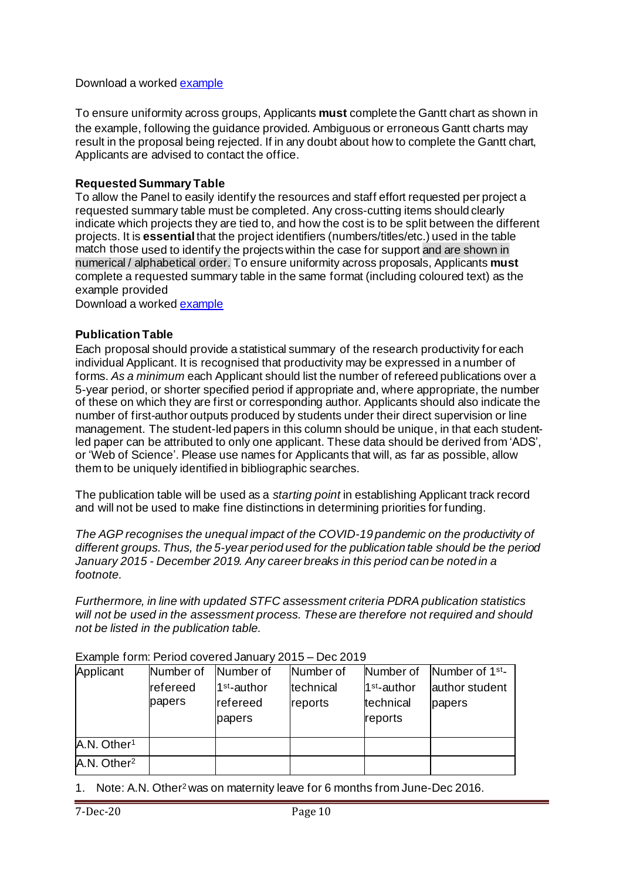### Download a worked **example**

To ensure uniformity across groups, Applicants **must** complete the Gantt chart as shown in the example, following the guidance provided. Ambiguous or erroneous Gantt charts may result in the proposal being rejected. If in any doubt about how to complete the Gantt chart, Applicants are advised to contact the office.

## **Requested Summary Table**

To allow the Panel to easily identify the resources and staff effort requested per project a requested summary table must be completed. Any cross-cutting items should clearly indicate which projects they are tied to, and how the cost is to be split between the different projects. It is **essential** that the project identifiers (numbers/titles/etc.) used in the table match those used to identify the projects within the case for support and are shown in numerical / alphabetical order. To ensure uniformity across proposals, Applicants **must** complete a requested summary table in the same format (including coloured text) as the example provided

Download a worke[d example](http://www.stfc.ac.uk/files/requested-summary-table/)

### **Publication Table**

Each proposal should provide a statistical summary of the research productivity for each individual Applicant. It is recognised that productivity may be expressed in a number of forms. *As a minimum* each Applicant should list the number of refereed publications over a 5-year period, or shorter specified period if appropriate and, where appropriate, the number of these on which they are first or corresponding author. Applicants should also indicate the number of first-author outputs produced by students under their direct supervision or line management. The student-led papers in this column should be unique, in that each studentled paper can be attributed to only one applicant. These data should be derived from 'ADS', or 'Web of Science'. Please use names for Applicants that will, as far as possible, allow them to be uniquely identified in bibliographic searches.

The publication table will be used as a *starting point* in establishing Applicant track record and will not be used to make fine distinctions in determining priorities for funding.

*The AGP recognises the unequal impact of the COVID-19 pandemic on the productivity of different groups. Thus, the 5-year period used for the publication table should be the period January 2015 - December 2019. Any career breaks in this period can be noted in a footnote.*

*Furthermore, in line with updated STFC assessment criteria PDRA publication statistics will not be used in the assessment process. These are therefore not required and should not be listed in the publication table.*

| Applicant               | Number of | Number of               | Number of | Number of               | Number of 1 <sup>st</sup> - |
|-------------------------|-----------|-------------------------|-----------|-------------------------|-----------------------------|
|                         | refereed  | 1 <sup>st</sup> -author | technical | 1 <sup>st</sup> -author | author student              |
|                         | papers    | refereed                | reports   | technical               | papers                      |
|                         |           | papers                  |           | reports                 |                             |
|                         |           |                         |           |                         |                             |
| A.N. Other <sup>1</sup> |           |                         |           |                         |                             |
| A.N. Other <sup>2</sup> |           |                         |           |                         |                             |

Example form: Period covered January 2015 – Dec 2019

1. Note: A.N. Other<sup>2</sup> was on maternity leave for 6 months from June-Dec 2016.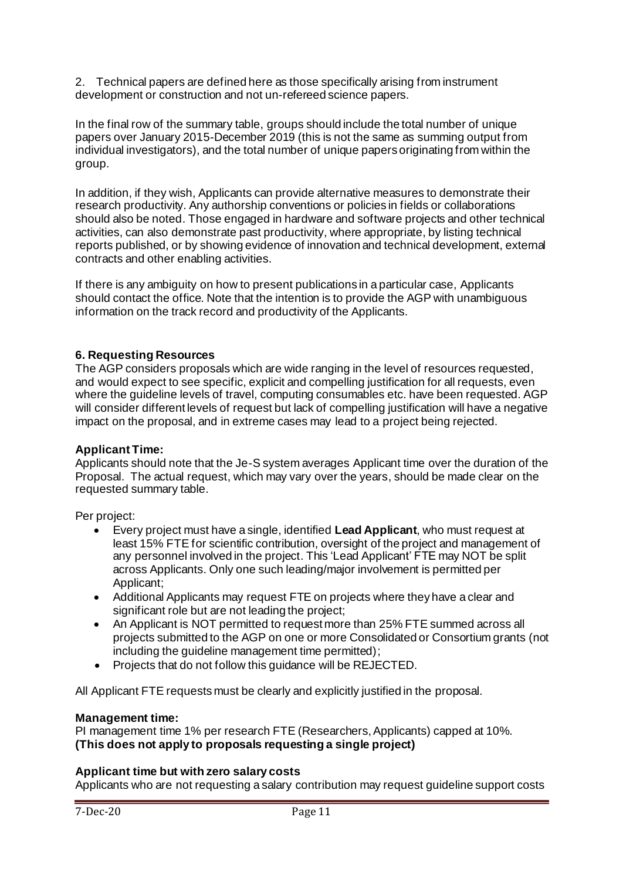2. Technical papers are defined here as those specifically arising from instrument development or construction and not un-refereed science papers.

In the final row of the summary table, groups should include the total number of unique papers over January 2015-December 2019 (this is not the same as summing output from individual investigators), and the total number of unique papers originating from within the group.

In addition, if they wish, Applicants can provide alternative measures to demonstrate their research productivity. Any authorship conventions or policies in fields or collaborations should also be noted. Those engaged in hardware and software projects and other technical activities, can also demonstrate past productivity, where appropriate, by listing technical reports published, or by showing evidence of innovation and technical development, external contracts and other enabling activities.

If there is any ambiguity on how to present publications in a particular case, Applicants should contact the office. Note that the intention is to provide the AGP with unambiguous information on the track record and productivity of the Applicants.

## **6. Requesting Resources**

The AGP considers proposals which are wide ranging in the level of resources requested, and would expect to see specific, explicit and compelling justification for all requests, even where the guideline levels of travel, computing consumables etc. have been requested. AGP will consider different levels of request but lack of compelling justification will have a negative impact on the proposal, and in extreme cases may lead to a project being rejected.

### **Applicant Time:**

Applicants should note that the Je-S system averages Applicant time over the duration of the Proposal. The actual request, which may vary over the years, should be made clear on the requested summary table.

Per project:

- Every project must have a single, identified **Lead Applicant**, who must request at least 15% FTE for scientific contribution, oversight of the project and management of any personnel involved in the project. This 'Lead Applicant' FTE may NOT be split across Applicants. Only one such leading/major involvement is permitted per Applicant;
- Additional Applicants may request FTE on projects where they have a clear and significant role but are not leading the project:
- An Applicant is NOT permitted to request more than 25% FTE summed across all projects submitted to the AGP on one or more Consolidated or Consortium grants (not including the guideline management time permitted);
- Projects that do not follow this guidance will be REJECTED.

All Applicant FTE requests must be clearly and explicitly justified in the proposal.

### **Management time:**

PI management time 1% per research FTE (Researchers, Applicants) capped at 10%. **(This does not apply to proposals requesting a single project)**

### **Applicant time but with zero salary costs**

Applicants who are not requesting a salary contribution may request guideline support costs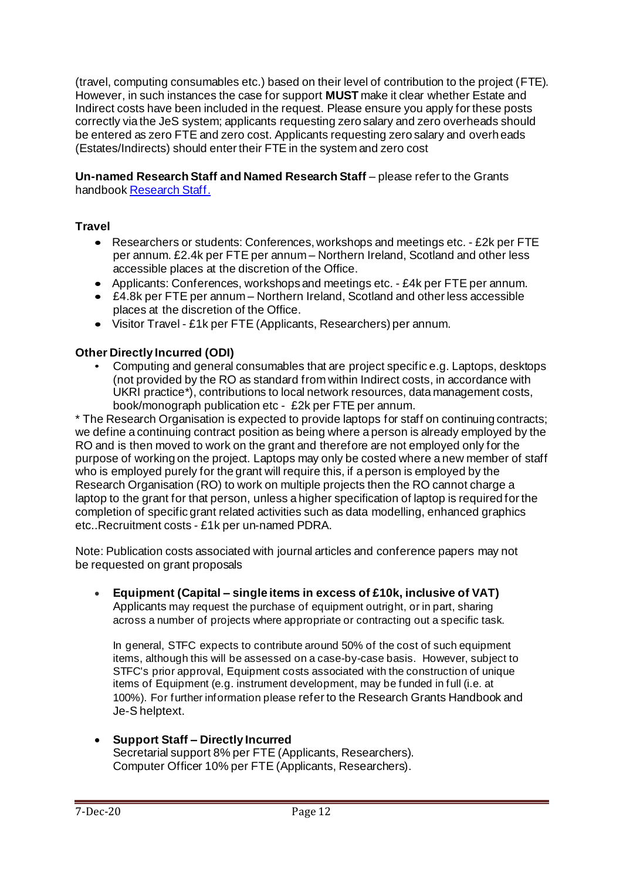(travel, computing consumables etc.) based on their level of contribution to the project (FTE). However, in such instances the case for support **MUST** make it clear whether Estate and Indirect costs have been included in the request. Please ensure you apply for these posts correctly via the JeS system; applicants requesting zero salary and zero overheads should be entered as zero FTE and zero cost. Applicants requesting zero salary and overheads (Estates/Indirects) should enter their FTE in the system and zero cost

**Un-named Research Staff and Named Research Staff** – please refer to the Grants handboo[k Research Staff](https://stfc.ukri.org/research-grants-handbook/5-applying-for-a-grant/5-4-staff-including-investigators/).

## **Travel**

- Researchers or students: Conferences, workshops and meetings etc. £2k per FTE per annum. £2.4k per FTE per annum – Northern Ireland, Scotland and other less accessible places at the discretion of the Office.
- Applicants: Conferences, workshops and meetings etc. £4k per FTE per annum.
- £4.8k per FTE per annum Northern Ireland, Scotland and other less accessible places at the discretion of the Office.
- Visitor Travel £1k per FTE (Applicants, Researchers) per annum.

## **Other Directly Incurred (ODI)**

• Computing and general consumables that are project specific e.g. Laptops, desktops (not provided by the RO as standard from within Indirect costs, in accordance with UKRI practice\*), contributions to local network resources, data management costs, book/monograph publication etc - £2k per FTE per annum.

\* The Research Organisation is expected to provide laptops for staff on continuing contracts; we define a continuing contract position as being where a person is already employed by the RO and is then moved to work on the grant and therefore are not employed only for the purpose of working on the project. Laptops may only be costed where a new member of staff who is employed purely for the grant will require this, if a person is employed by the Research Organisation (RO) to work on multiple projects then the RO cannot charge a laptop to the grant for that person, unless a higher specification of laptop is required for the completion of specific grant related activities such as data modelling, enhanced graphics etc..Recruitment costs - £1k per un-named PDRA.

Note: Publication costs associated with journal articles and conference papers may not be requested on grant proposals

• **Equipment (Capital – single items in excess of £10k, inclusive of VAT)** Applicants may request the purchase of equipment outright, or in part, sharing across a number of projects where appropriate or contracting out a specific task.

In general, STFC expects to contribute around 50% of the cost of such equipment items, although this will be assessed on a case-by-case basis. However, subject to STFC's prior approval, Equipment costs associated with the construction of unique items of Equipment (e.g. instrument development, may be funded in full (i.e. at 100%). For further information please refer to the Research Grants Handbook and Je-S helptext.

• **Support Staff – Directly Incurred** Secretarial support 8% per FTE (Applicants, Researchers). Computer Officer 10% per FTE (Applicants, Researchers).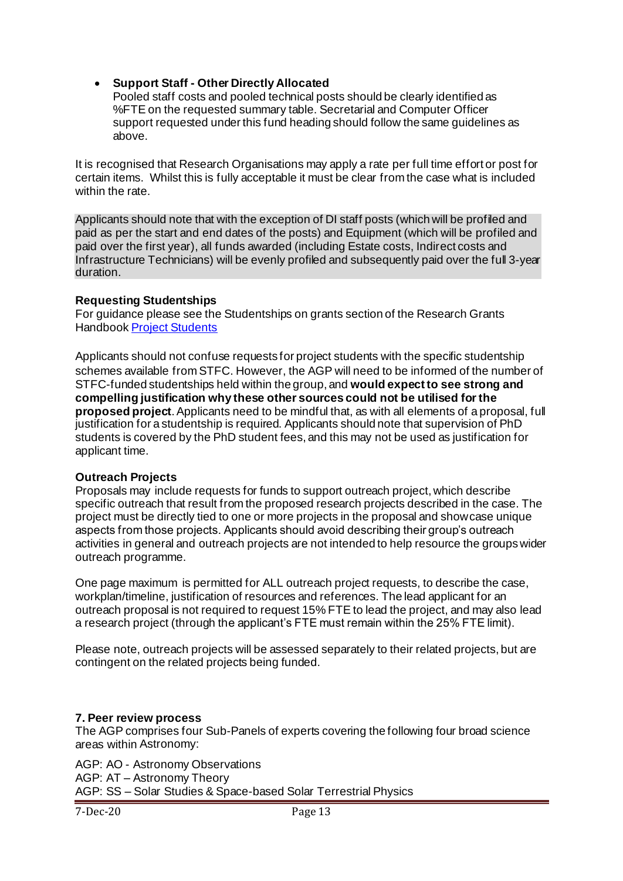## • **Support Staff - Other Directly Allocated**

Pooled staff costs and pooled technical posts should be clearly identified as %FTE on the requested summary table. Secretarial and Computer Officer support requested under this fund heading should follow the same guidelines as above.

It is recognised that Research Organisations may apply a rate per full time effort or post for certain items. Whilst this is fully acceptable it must be clear from the case what is included within the rate.

Applicants should note that with the exception of DI staff posts (which will be profiled and paid as per the start and end dates of the posts) and Equipment (which will be profiled and paid over the first year), all funds awarded (including Estate costs, Indirect costs and Infrastructure Technicians) will be evenly profiled and subsequently paid over the full 3-year duration.

### **Requesting Studentships**

For guidance please see the Studentships on grants section of the Research Grants Handboo[k Project Students](https://stfc.ukri.org/research-grants-handbook/5-applying-for-a-grant/5-4-staff-including-investigators/)

Applicants should not confuse requests for project students with the specific studentship schemes available from STFC. However, the AGP will need to be informed of the number of STFC-funded studentships held within the group, and **would expect to see strong and compelling justification why these other sources could not be utilised forthe proposed project**. Applicants need to be mindful that, as with all elements of a proposal, full justification for a studentship is required. Applicants should note that supervision of PhD students is covered by the PhD student fees, and this may not be used as justification for applicant time.

### **Outreach Projects**

Proposals may include requests for funds to support outreach project, which describe specific outreach that result from the proposed research projects described in the case. The project must be directly tied to one or more projects in the proposal and showcase unique aspects from those projects. Applicants should avoid describing their group's outreach activities in general and outreach projects are not intended to help resource the groups wider outreach programme.

One page maximum is permitted for ALL outreach project requests, to describe the case, workplan/timeline, justification of resources and references. The lead applicant for an outreach proposal is not required to request 15% FTE to lead the project, and may also lead a research project (through the applicant's FTE must remain within the 25% FTE limit).

Please note, outreach projects will be assessed separately to their related projects, but are contingent on the related projects being funded.

### **7. Peer review process**

The AGP comprises four Sub-Panels of experts covering the following four broad science areas within Astronomy:

AGP: AO - Astronomy Observations AGP: AT – Astronomy Theory AGP: SS – Solar Studies & Space-based Solar Terrestrial Physics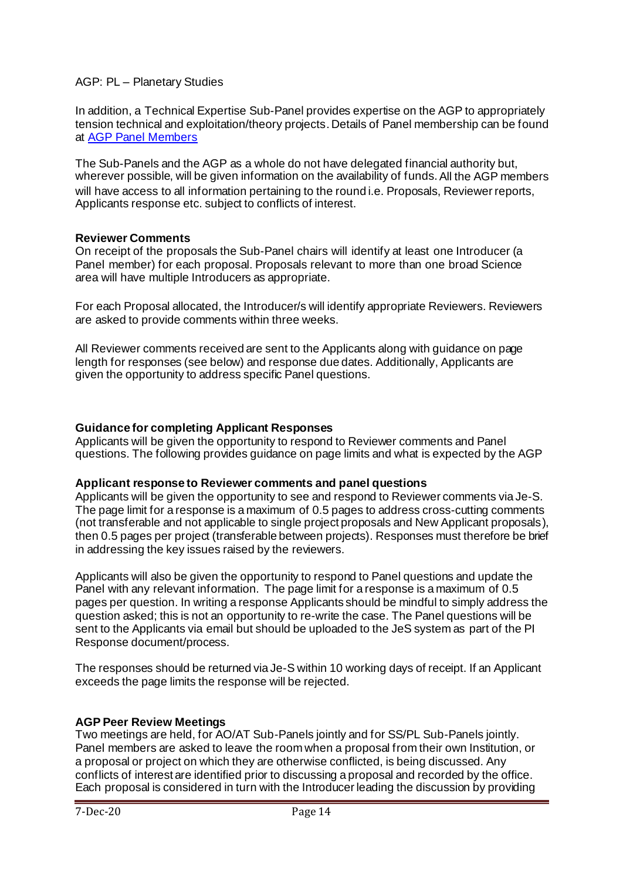#### AGP: PL – Planetary Studies

In addition, a Technical Expertise Sub-Panel provides expertise on the AGP to appropriately tension technical and exploitation/theory projects. Details of Panel membership can be found at [AGP Panel](https://stfc.ukri.org/about-us/how-we-are-governed/advisory-boards/astronomy-grants-panel/) Members

The Sub-Panels and the AGP as a whole do not have delegated financial authority but, wherever possible, will be given information on the availability of funds. All the AGP members will have access to all information pertaining to the round i.e. Proposals, Reviewer reports, Applicants response etc. subject to conflicts of interest.

### **Reviewer Comments**

On receipt of the proposals the Sub-Panel chairs will identify at least one Introducer (a Panel member) for each proposal. Proposals relevant to more than one broad Science area will have multiple Introducers as appropriate.

For each Proposal allocated, the Introducer/s will identify appropriate Reviewers. Reviewers are asked to provide comments within three weeks.

All Reviewer comments received are sent to the Applicants along with guidance on page length for responses (see below) and response due dates. Additionally, Applicants are given the opportunity to address specific Panel questions.

#### **Guidance for completing Applicant Responses**

Applicants will be given the opportunity to respond to Reviewer comments and Panel questions. The following provides guidance on page limits and what is expected by the AGP

### **Applicant response to Reviewer comments and panel questions**

Applicants will be given the opportunity to see and respond to Reviewer comments via Je-S. The page limit for a response is a maximum of 0.5 pages to address cross-cutting comments (not transferable and not applicable to single project proposals and New Applicant proposals), then 0.5 pages per project (transferable between projects). Responses must therefore be brief in addressing the key issues raised by the reviewers.

Applicants will also be given the opportunity to respond to Panel questions and update the Panel with any relevant information. The page limit for a response is a maximum of 0.5 pages per question. In writing a response Applicants should be mindful to simply address the question asked; this is not an opportunity to re-write the case. The Panel questions will be sent to the Applicants via email but should be uploaded to the JeS system as part of the PI Response document/process.

The responses should be returned via Je-S within 10 working days of receipt. If an Applicant exceeds the page limits the response will be rejected.

### **AGP Peer Review Meetings**

Two meetings are held, for AO/AT Sub-Panels jointly and for SS/PL Sub-Panels jointly. Panel members are asked to leave the room when a proposal from their own Institution, or a proposal or project on which they are otherwise conflicted, is being discussed. Any conflicts of interest are identified prior to discussing a proposal and recorded by the office. Each proposal is considered in turn with the Introducer leading the discussion by providing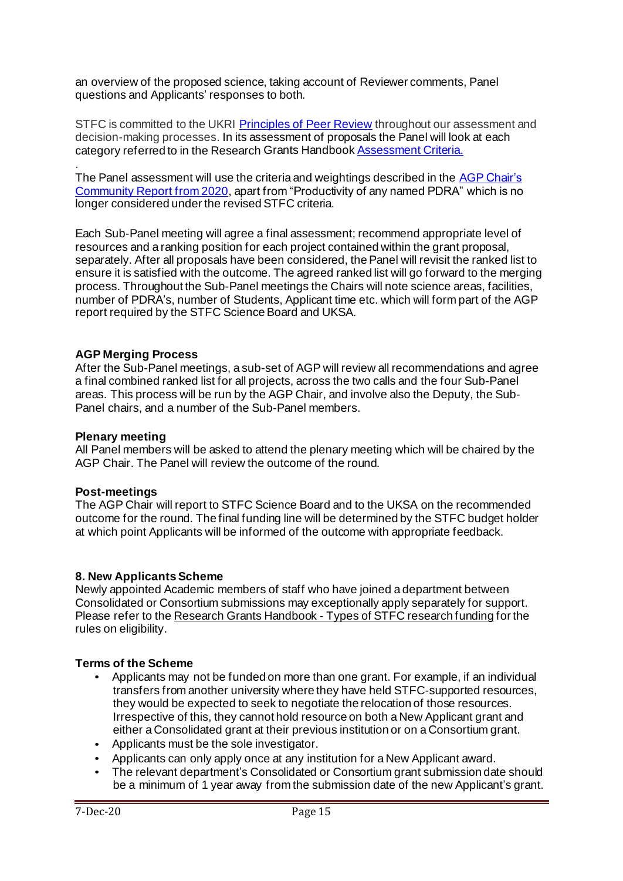an overview of the proposed science, taking account of Reviewer comments, Panel questions and Applicants' responses to both.

STFC is committed to the UKRI [Principles of Peer Review](https://stfc.ukri.org/funding/research-grants/peer-review-and-assessment/) throughout our assessment and decision-making processes. In its assessment of proposals the Panel will look at each category referred to in the Research Grants Handbook **Assessment Criteria.** 

. The Panel assessment will use the criteria and weightings described in the AGP Chair's [Community Report from 2020,](https://stfc.ukri.org/research/astronomy-and-space-science/astronomy-space-science-programme/astronomy-research-grants/) apart from "Productivity of any named PDRA" which is no longer considered under the revised STFC criteria.

Each Sub-Panel meeting will agree a final assessment; recommend appropriate level of resources and a ranking position for each project contained within the grant proposal, separately. After all proposals have been considered, the Panel will revisit the ranked list to ensure it is satisfied with the outcome. The agreed ranked list will go forward to the merging process. Throughout the Sub-Panel meetings the Chairs will note science areas, facilities, number of PDRA's, number of Students, Applicant time etc. which will form part of the AGP report required by the STFC Science Board and UKSA.

### **AGP Merging Process**

After the Sub-Panel meetings, a sub-set of AGP will review all recommendations and agree a final combined ranked list for all projects, across the two calls and the four Sub-Panel areas. This process will be run by the AGP Chair, and involve also the Deputy, the Sub-Panel chairs, and a number of the Sub-Panel members.

#### **Plenary meeting**

All Panel members will be asked to attend the plenary meeting which will be chaired by the AGP Chair. The Panel will review the outcome of the round.

#### **Post-meetings**

The AGP Chair will report to STFC Science Board and to the UKSA on the recommended outcome for the round. The final funding line will be determined by the STFC budget holder at which point Applicants will be informed of the outcome with appropriate feedback.

#### **8. New ApplicantsScheme**

Newly appointed Academic members of staff who have joined a department between Consolidated or Consortium submissions may exceptionally apply separately for support. Please refer to the Research Grants Handbook - [Types of STFC research funding](https://stfc.ukri.org/research-grants-handbook/4-types-of-stfc-research-funding/#4.1.3) for the rules on eligibility.

#### **Terms of the Scheme**

- Applicants may not be funded on more than one grant. For example, if an individual transfers from another university where they have held STFC-supported resources, they would be expected to seek to negotiate the relocation of those resources. Irrespective of this, they cannot hold resource on both a New Applicant grant and either a Consolidated grant at their previous institution or on a Consortium grant.
- Applicants must be the sole investigator.
- Applicants can only apply once at any institution for a New Applicant award.
- The relevant department's Consolidated or Consortium grant submission date should be a minimum of 1 year away from the submission date of the new Applicant's grant.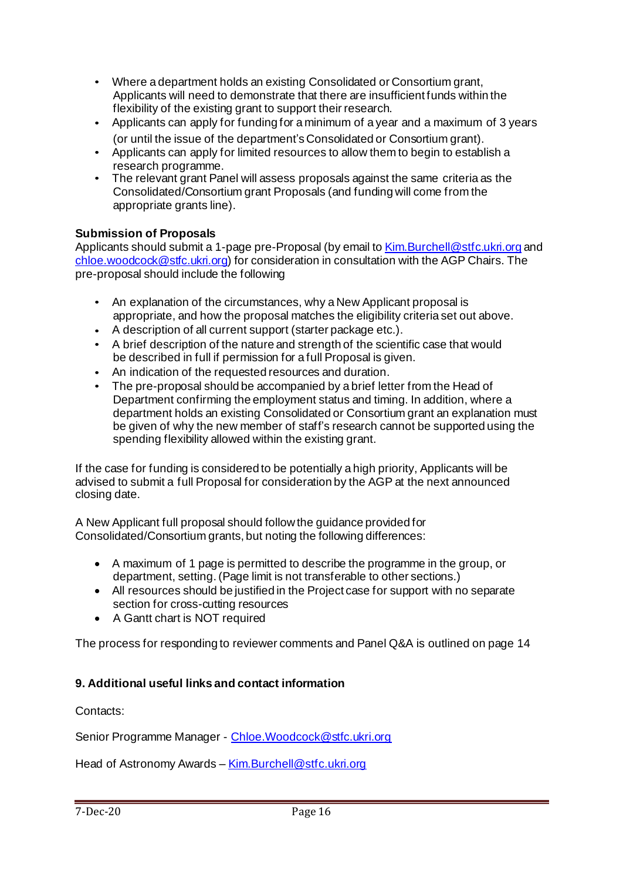- Where a department holds an existing Consolidated or Consortium grant, Applicants will need to demonstrate that there are insufficient funds within the flexibility of the existing grant to support their research.
- Applicants can apply for funding for a minimum of a year and a maximum of 3 years (or until the issue of the department's Consolidated or Consortium grant).
- Applicants can apply for limited resources to allow them to begin to establish a research programme.
- The relevant grant Panel will assess proposals against the same criteria as the Consolidated/Consortium grant Proposals (and funding will come from the appropriate grants line).

## **Submission of Proposals**

Applicants should submit a 1-page pre-Proposal (by email to Kim. Burchell@stfc.ukri.org and [chloe.woodcock@stfc.ukri.org\)](mailto:chloe.woodcock@stfc.ukri.org) for consideration in consultation with the AGP Chairs. The pre-proposal should include the following

- An explanation of the circumstances, why a New Applicant proposal is appropriate, and how the proposal matches the eligibility criteria set out above.
- A description of all current support (starter package etc.).
- A brief description of the nature and strength of the scientific case that would be described in full if permission for a full Proposal is given.
- An indication of the requested resources and duration.
- The pre-proposal should be accompanied by a brief letter from the Head of Department confirming the employment status and timing. In addition, where a department holds an existing Consolidated or Consortium grant an explanation must be given of why the new member of staff's research cannot be supported using the spending flexibility allowed within the existing grant.

If the case for funding is considered to be potentially a high priority, Applicants will be advised to submit a full Proposal for consideration by the AGP at the next announced closing date.

A New Applicant full proposal should follow the guidance provided for Consolidated/Consortium grants, but noting the following differences:

- A maximum of 1 page is permitted to describe the programme in the group, or department, setting. (Page limit is not transferable to other sections.)
- All resources should be justified in the Project case for support with no separate section for cross-cutting resources
- A Gantt chart is NOT required

The process for responding to reviewer comments and Panel Q&A is outlined on page 14

## **9. Additional useful links and contact information**

### Contacts:

Senior Programme Manager - [Chloe.Woodcock@stfc.ukri.org](mailto:Chloe.Woodcock@stfc.ukri.org)

Head of Astronomy Awards – Kim. Burchell@stfc.ukri.org